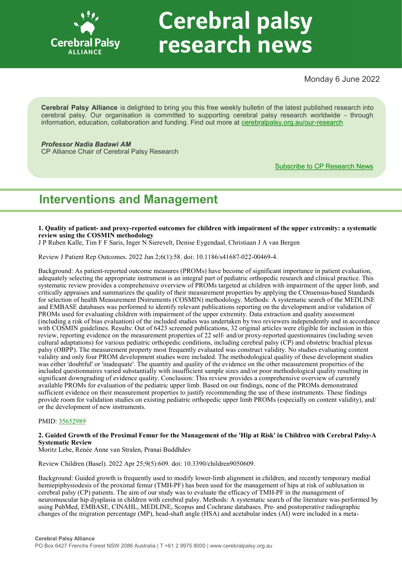

# **Cerebral palsy** research news

Monday 6 June 2022

**Cerebral Palsy Alliance** is delighted to bring you this free weekly bulletin of the latest published research into cerebral palsy. Our organisation is committed to supporting cerebral palsy research worldwide - through information, education, collaboration and funding. Find out more at [cerebralpalsy.org.au/our](https://cerebralpalsy.org.au/our-research/)-research

*Professor Nadia Badawi AM*

CP Alliance Chair of Cerebral Palsy Research

[Subscribe to CP Research News](https://cerebralpalsy.org.au/our-research/get-involved-research/cp-research-newsletters/)

# **Interventions and Management**

**1. Quality of patient- and proxy-reported outcomes for children with impairment of the upper extremity: a systematic review using the COSMIN methodology**

J P Ruben Kalle, Tim F F Saris, Inger N Sierevelt, Denise Eygendaal, Christiaan J A van Bergen

Review J Patient Rep Outcomes. 2022 Jun 2;6(1):58. doi: 10.1186/s41687-022-00469-4.

Background: As patient-reported outcome measures (PROMs) have become of significant importance in patient evaluation, adequately selecting the appropriate instrument is an integral part of pediatric orthopedic research and clinical practice. This systematic review provides a comprehensive overview of PROMs targeted at children with impairment of the upper limb, and critically appraises and summarizes the quality of their measurement properties by applying the COnsensus-based Standards for selection of health Measurement INstruments (COSMIN) methodology. Methods: A systematic search of the MEDLINE and EMBASE databases was performed to identify relevant publications reporting on the development and/or validation of PROMs used for evaluating children with impairment of the upper extremity. Data extraction and quality assessment (including a risk of bias evaluation) of the included studies was undertaken by two reviewers independently and in accordance with COSMIN guidelines. Results: Out of 6423 screened publications, 32 original articles were eligible for inclusion in this review, reporting evidence on the measurement properties of 22 self- and/or proxy-reported questionnaires (including seven cultural adaptations) for various pediatric orthopedic conditions, including cerebral palsy (CP) and obstetric brachial plexus palsy (OBPP). The measurement property most frequently evaluated was construct validity. No studies evaluating content validity and only four PROM development studies were included. The methodological quality of these development studies was either 'doubtful' or 'inadequate'. The quantity and quality of the evidence on the other measurement properties of the included questionnaires varied substantially with insufficient sample sizes and/or poor methodological quality resulting in significant downgrading of evidence quality. Conclusion: This review provides a comprehensive overview of currently available PROMs for evaluation of the pediatric upper limb. Based on our findings, none of the PROMs demonstrated sufficient evidence on their measurement properties to justify recommending the use of these instruments. These findings provide room for validation studies on existing pediatric orthopedic upper limb PROMs (especially on content validity), and/ or the development of new instruments.

# PMID: [35652989](http://www.ncbi.nlm.nih.gov/pubmed/35652989)

# **2. Guided Growth of the Proximal Femur for the Management of the 'Hip at Risk' in Children with Cerebral Palsy-A Systematic Review**

Moritz Lebe, Renée Anne van Stralen, Pranai Buddhdev

Review Children (Basel). 2022 Apr 25;9(5):609. doi: 10.3390/children9050609.

Background: Guided growth is frequently used to modify lower-limb alignment in children, and recently temporary medial hemiepiphysiodesis of the proximal femur (TMH-PF) has been used for the management of hips at risk of subluxation in cerebral palsy (CP) patients. The aim of our study was to evaluate the efficacy of TMH-PF in the management of neuromuscular hip dysplasia in children with cerebral palsy. Methods: A systematic search of the literature was performed by using PubMed, EMBASE, CINAHL, MEDLINE, Scopus and Cochrane databases. Pre- and postoperative radiographic changes of the migration percentage (MP), head-shaft angle (HSA) and acetabular index (AI) were included in a meta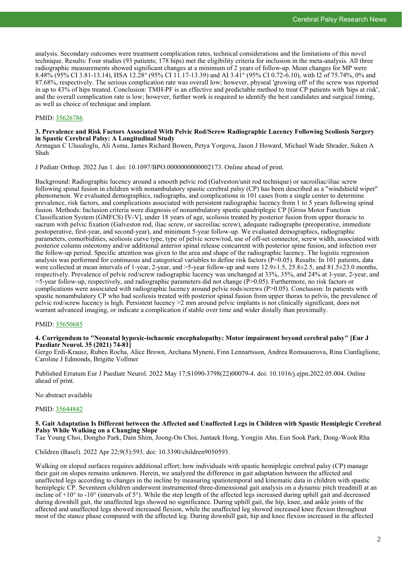analysis. Secondary outcomes were treatment complication rates, technical considerations and the limitations of this novel technique. Results: Four studies (93 patients; 178 hips) met the eligibility criteria for inclusion in the meta-analysis. All three radiographic measurements showed significant changes at a minimum of 2 years of follow-up. Mean changes for MP were 8.48% (95% CI 3.81-13.14), HSA 12.28° (95% CI 11.17-13.39) and AI 3.41° (95% CI 0.72-6.10), with I2 of 75.74%, 0% and 87.68%, respectively. The serious complication rate was overall low; however, physeal 'growing off' of the screw was reported in up to 43% of hips treated. Conclusion: TMH-PF is an effective and predictable method to treat CP patients with 'hips at risk', and the overall complication rate is low; however, further work is required to identify the best candidates and surgical timing, as well as choice of technique and implant.

# PMID: [35626786](http://www.ncbi.nlm.nih.gov/pubmed/35626786)

#### **3. Prevalence and Risk Factors Associated With Pelvic Rod/Screw Radiographic Lucency Following Scoliosis Surgery in Spastic Cerebral Palsy: A Longitudinal Study**

Armagan C Ulusaloglu, Ali Asma, James Richard Bowen, Petya Yorgova, Jason J Howard, Michael Wade Shrader, Suken A Shah

J Pediatr Orthop. 2022 Jun 1. doi: 10.1097/BPO.0000000000002173. Online ahead of print.

Background: Radiographic lucency around a smooth pelvic rod (Galveston/unit rod technique) or sacroiliac/iliac screw following spinal fusion in children with nonambulatory spastic cerebral palsy (CP) has been described as a "windshield wiper" phenomenon. We evaluated demographics, radiographs, and complications in 101 cases from a single center to determine prevalence, risk factors, and complications associated with persistent radiographic lucency from 1 to 5 years following spinal fusion. Methods: Inclusion criteria were diagnosis of nonambulatory spastic quadriplegic CP [Gross Motor Function Classification System (GMFCS) IV-V], under 18 years of age, scoliosis treated by posterior fusion from upper thoracic to sacrum with pelvic fixation (Galveston rod, iliac screw, or sacroiliac screw), adequate radiographs (preoperative, immediate postoperative, first-year, and second-year), and minimum 5-year follow-up. We evaluated demographics, radiographic parameters, comorbidities, scoliosis curve type, type of pelvic screw/rod, use of off-set connector, screw width, associated with posterior column osteotomy and/or additional anterior spinal release concurrent with posterior spine fusion, and infection over the follow-up period. Specific attention was given to the area and shape of the radiographic lucency. The logistic regression analysis was performed for continuous and categorical variables to define risk factors  $(P=0.05)$ . Results: In 101 patients, data were collected at mean intervals of 1-year, 2-year, and  $>5$ -year follow-up and were 12.9 $\pm$ 1.5, 25.8 $\pm$ 2.5, and 81.5 $\pm$ 23.0 months, respectively. Prevalence of pelvic rod/screw radiographic lucency was unchanged at 33%, 35%, and 24% at 1-year, 2-year, and >5-year follow-up, respectively, and radiographic parameters did not change (P>0.05). Furthermore, no risk factors or complications were associated with radiographic lucency around pelvic rods/screws (P>0.05). Conclusion: In patients with spastic nonambulatory CP who had scoliosis treated with posterior spinal fusion from upper thorax to pelvis, the prevalence of pelvic rod/screw lucency is high. Persistent lucency >2 mm around pelvic implants is not clinically significant, does not warrant advanced imaging, or indicate a complication if stable over time and wider distally than proximally.

# PMID: [35650685](http://www.ncbi.nlm.nih.gov/pubmed/35650685)

# **4. Corrigendum to "Neonatal hypoxic-ischaemic encephalopathy: Motor impairment beyond cerebral palsy" [Eur J Paediatr Neurol. 35 (2021) 74-81]**

Gergo Erdi-Krausz, Ruben Rocha, Alice Brown, Archana Myneni, Finn Lennartsson, Andrea Romsauerova, Rina Cianfaglione, Caroline J Edmonds, Brigitte Vollmer

Published Erratum Eur J Paediatr Neurol. 2022 May 17;S1090-3798(22)00079-4. doi: 10.1016/j.ejpn.2022.05.004. Online ahead of print.

No abstract available

# PMID: [35644842](http://www.ncbi.nlm.nih.gov/pubmed/35644842)

# **5. Gait Adaptation Is Different between the Affected and Unaffected Legs in Children with Spastic Hemiplegic Cerebral Palsy While Walking on a Changing Slope**

Tae Young Choi, Dongho Park, Dain Shim, Joong-On Choi, Juntaek Hong, Yongjin Ahn, Eun Sook Park, Dong-Wook Rha

Children (Basel). 2022 Apr 22;9(5):593. doi: 10.3390/children9050593.

Walking on sloped surfaces requires additional effort; how individuals with spastic hemiplegic cerebral palsy (CP) manage their gait on slopes remains unknown. Herein, we analyzed the difference in gait adaptation between the affected and unaffected legs according to changes in the incline by measuring spatiotemporal and kinematic data in children with spastic hemiplegic CP. Seventeen children underwent instrumented three-dimensional gait analysis on a dynamic pitch treadmill at an incline of  $+10^{\circ}$  to  $-10^{\circ}$  (intervals of 5°). While the step length of the affected legs increased during uphill gait and decreased during downhill gait, the unaffected legs showed no significance. During uphill gait, the hip, knee, and ankle joints of the affected and unaffected legs showed increased flexion, while the unaffected leg showed increased knee flexion throughout most of the stance phase compared with the affected leg. During downhill gait, hip and knee flexion increased in the affected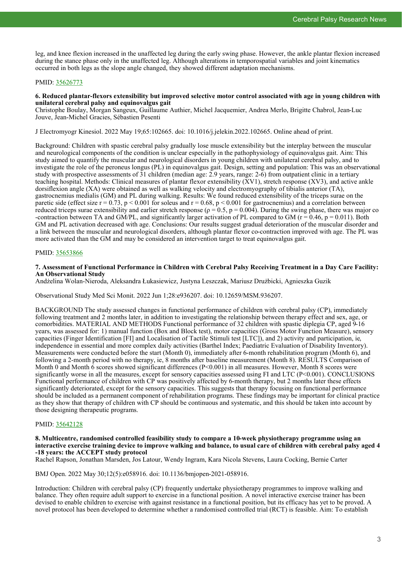leg, and knee flexion increased in the unaffected leg during the early swing phase. However, the ankle plantar flexion increased during the stance phase only in the unaffected leg. Although alterations in temporospatial variables and joint kinematics occurred in both legs as the slope angle changed, they showed different adaptation mechanisms.

# PMID: [35626773](http://www.ncbi.nlm.nih.gov/pubmed/35626773)

# **6. Reduced plantar-flexors extensibility but improved selective motor control associated with age in young children with unilateral cerebral palsy and equinovalgus gait**

Christophe Boulay, Morgan Sangeux, Guillaume Authier, Michel Jacquemier, Andrea Merlo, Brigitte Chabrol, Jean-Luc Jouve, Jean-Michel Gracies, Sébastien Pesenti

J Electromyogr Kinesiol. 2022 May 19;65:102665. doi: 10.1016/j.jelekin.2022.102665. Online ahead of print.

Background: Children with spastic cerebral palsy gradually lose muscle extensibility but the interplay between the muscular and neurological components of the condition is unclear especially in the pathophysiology of equinovalgus gait. Aim: This study aimed to quantify the muscular and neurological disorders in young children with unilateral cerebral palsy, and to investigate the role of the peroneus longus (PL) in equinovalgus gait. Design, setting and population: This was an observational study with prospective assessments of 31 children (median age: 2.9 years, range: 2-6) from outpatient clinic in a tertiary teaching hospital. Methods: Clinical measures of plantar flexor extensibility (XV1), stretch response (XV3), and active ankle dorsiflexion angle (XA) were obtained as well as walking velocity and electromyography of tibialis anterior (TA), gastrocnemius medialis (GM) and PL during walking. Results: We found reduced extensibility of the triceps surae on the paretic side (effect size  $r = 0.73$ ,  $p < 0.001$  for soleus and  $r = 0.68$ ,  $p < 0.001$  for gastrocnemius) and a correlation between reduced triceps surae extensibility and earlier stretch response ( $ρ = 0.5$ ,  $p = 0.004$ ). During the swing phase, there was major co -contraction between TA and GM/PL, and significantly larger activation of PL compared to GM ( $r = 0.46$ ,  $p = 0.011$ ). Both GM and PL activation decreased with age. Conclusions: Our results suggest gradual deterioration of the muscular disorder and a link between the muscular and neurological disorders, although plantar flexor co-contraction improved with age. The PL was more activated than the GM and may be considered an intervention target to treat equinovalgus gait.

# PMID: [35653866](http://www.ncbi.nlm.nih.gov/pubmed/35653866)

#### **7. Assessment of Functional Performance in Children with Cerebral Palsy Receiving Treatment in a Day Care Facility: An Observational Study**

Andżelina Wolan-Nieroda, Aleksandra Łukasiewicz, Justyna Leszczak, Mariusz Drużbicki, Agnieszka Guzik

Observational Study Med Sci Monit. 2022 Jun 1;28:e936207. doi: 10.12659/MSM.936207.

BACKGROUND The study assessed changes in functional performance of children with cerebral palsy (CP), immediately following treatment and 2 months later, in addition to investigating the relationship between therapy effect and sex, age, or comorbidities. MATERIAL AND METHODS Functional performance of 32 children with spastic diplegia CP, aged 9-16 years, was assessed for: 1) manual function (Box and Block test), motor capacities (Gross Motor Function Measure), sensory capacities (Finger Identification [FI] and Localisation of Tactile Stimuli test [LTC]), and 2) activity and participation, ie, independence in essential and more complex daily activities (Barthel Index; Paediatric Evaluation of Disability Inventory). Measurements were conducted before the start (Month 0), immediately after 6-month rehabilitation program (Month 6), and following a 2-month period with no therapy, ie, 8 months after baseline measurement (Month 8). RESULTS Comparison of Month 0 and Month  $\overline{6}$  scores showed significant differences (P<0.001) in all measures. However, Month 8 scores were significantly worse in all the measures, except for sensory capacities assessed using FI and LTC (P<0.001). CONCLUSIONS Functional performance of children with CP was positively affected by 6-month therapy, but 2 months later these effects significantly deteriorated, except for the sensory capacities. This suggests that therapy focusing on functional performance should be included as a permanent component of rehabilitation programs. These findings may be important for clinical practice as they show that therapy of children with CP should be continuous and systematic, and this should be taken into account by those designing therapeutic programs.

# PMID: [35642128](http://www.ncbi.nlm.nih.gov/pubmed/35642128)

#### **8. Multicentre, randomised controlled feasibility study to compare a 10-week physiotherapy programme using an interactive exercise training device to improve walking and balance, to usual care of children with cerebral palsy aged 4 -18 years: the ACCEPT study protocol**

Rachel Rapson, Jonathan Marsden, Jos Latour, Wendy Ingram, Kara Nicola Stevens, Laura Cocking, Bernie Carter

BMJ Open. 2022 May 30;12(5):e058916. doi: 10.1136/bmjopen-2021-058916.

Introduction: Children with cerebral palsy (CP) frequently undertake physiotherapy programmes to improve walking and balance. They often require adult support to exercise in a functional position. A novel interactive exercise trainer has been devised to enable children to exercise with against resistance in a functional position, but its efficacy has yet to be proved. A novel protocol has been developed to determine whether a randomised controlled trial (RCT) is feasible. Aim: To establish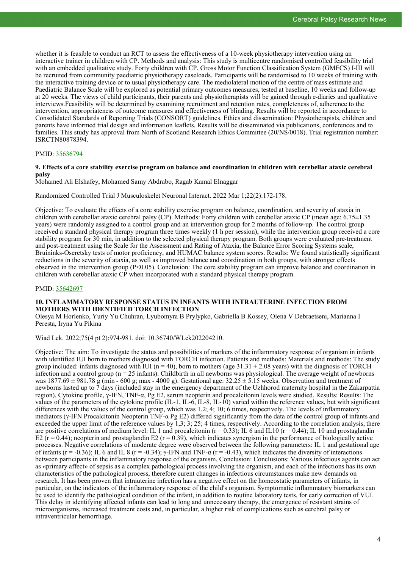whether it is feasible to conduct an RCT to assess the effectiveness of a 10-week physiotherapy intervention using an interactive trainer in children with CP. Methods and analysis: This study is multicentre randomised controlled feasibility trial with an embedded qualitative study. Forty children with CP, Gross Motor Function Classification System (GMFCS) I-III will be recruited from community paediatric physiotherapy caseloads. Participants will be randomised to 10 weeks of training with the interactive training device or to usual physiotherapy care. The mediolateral motion of the centre of mass estimate and Paediatric Balance Scale will be explored as potential primary outcomes measures, tested at baseline, 10 weeks and follow-up at 20 weeks. The views of child participants, their parents and physiotherapists will be gained through e-diaries and qualitative interviews.Feasibility will be determined by examining recruitment and retention rates, completeness of, adherence to the intervention, appropriateness of outcome measures and effectiveness of blinding. Results will be reported in accordance to Consolidated Standards of Reporting Trials (CONSORT) guidelines. Ethics and dissemination: Physiotherapists, children and parents have informed trial design and information leaflets. Results will be disseminated via publications, conferences and to families. This study has approval from North of Scotland Research Ethics Committee (20/NS/0018). Trial registration number: ISRCTN80878394.

# PMID: [35636794](http://www.ncbi.nlm.nih.gov/pubmed/35636794)

#### **9. Effects of a core stability exercise program on balance and coordination in children with cerebellar ataxic cerebral palsy**

Mohamed Ali Elshafey, Mohamed Samy Abdrabo, Ragab Kamal Elnaggar

Randomized Controlled Trial J Musculoskelet Neuronal Interact. 2022 Mar 1;22(2):172-178.

Objective: To evaluate the effects of a core stability exercise program on balance, coordination, and severity of ataxia in children with cerebellar ataxic cerebral palsy (CP). Methods: Forty children with cerebellar ataxic CP (mean age: 6.75±1.35 years) were randomly assigned to a control group and an intervention group for 2 months of follow-up. The control group received a standard physical therapy program three times weekly (1 h per session), while the intervention group received a core stability program for 30 min, in addition to the selected physical therapy program. Both groups were evaluated pre-treatment and post-treatment using the Scale for the Assessment and Rating of Ataxia, the Balance Error Scoring Systems scale, Bruininks-Oseretsky tests of motor proficiency, and HUMAC balance system scores. Results: We found statistically significant reductions in the severity of ataxia, as well as improved balance and coordination in both groups, with stronger effects observed in the intervention group  $(P<0.05)$ . Conclusion: The core stability program can improve balance and coordination in children with cerebellar ataxic CP when incorporated with a standard physical therapy program.

#### PMID: [35642697](http://www.ncbi.nlm.nih.gov/pubmed/35642697)

# **10. INFLAMMATORY RESPONSE STATUS IN INFANTS WITH INTRAUTERINE INFECTION FROM MOTHERS WITH IDENTIFIED TORCH INFECTION**

Olesya M Horlenko, Yuriy Yu Chuhran, Lyubomyra B Prylypko, Gabriella B Kossey, Olena V Debraetseni, Marianna I Peresta, Iryna Yu Pikina

Wiad Lek. 2022;75(4 pt 2):974-981. doi: 10.36740/WLek202204210.

Objective: The aim: To investigate the status and possibilities of markers of the inflammatory response of organism in infants with identified IUI born to mothers diagnosed with TORCH infection. Patients and methods: Materials and methods: The study group included: infants diagnosed with IUI ( $n = 40$ ), born to mothers (age 31.31  $\pm$  2.08 years) with the diagnosis of TORCH infection and a control group ( $n = 25$  infants). Childbirth in all newborns was physiological. The average weight of newborns was  $1877.69 \pm 981.78$  g (min - 600 g; max - 4000 g). Gestational age:  $32.25 \pm 5.15$  weeks. Observation and treatment of newborns lasted up to 7 days (included stay in the emergency department of the Uzhhorod maternity hospital in the Zakarpattia region). Cytokine profile, γ-IFN, TNF-α, Pg E2, serum neopterin and procalcitonin levels were studied. Results: Results: The values of the parameters of the cytokine profile (IL-1, IL-6, IL-8, IL-10) varied within the reference values, but with significant differences with the values of the control group, which was 1,2; 4; 10; 6 times, respectively. The levels of inflammatory mediators (γ-IFN Procalcitonin Neopterin TNF-α Pg E2) differed significantly from the data of the control group of infants and exceeded the upper limit of the reference values by 1,3; 3; 25; 4 times, respectively. According to the correlation analysis, there are positive correlations of medium level: IL 1 and procalcitonin ( $r = 0.33$ ); IL 6 and IL10 ( $r = 0.44$ ); IL 10 and prostaglandin E2 ( $r = 0.44$ ); neopterin and prostaglandin E2 ( $r = 0.39$ ), which indicates synergism in the performance of biologically active processes. Negative correlations of moderate degree were observed between the following parameters: IL 1 and gestational age of infants (r = -0.36); IL 6 and IL 8 (r = -0.34); γ-IFN and TNF- $\alpha$  (r = -0.43), which indicates the diversity of interactions between participants in the inflammatory response of the organism. Conclusion: Conclusions: Various infectious agents can act as «primary affect» of sepsis as a complex pathological process involving the organism, and each of the infections has its own characteristics of the pathological process, therefore curent changes in infectious circumstances make new demands on research. It has been proven that intrauterine infection has a negative effect on the homeostatic parameters of infants, in particular, on the indicators of the inflammatory response of the child's organism. Symptomatic inflammatory biomarkers can be used to identify the pathological condition of the infant, in addition to routine laboratory tests, for early correction of VUI. This delay in identifying affected infants can lead to long and unnecessary therapy, the emergence of resistant strains of microorganisms, increased treatment costs and, in particular, a higher risk of complications such as cerebral palsy or intraventricular hemorrhage.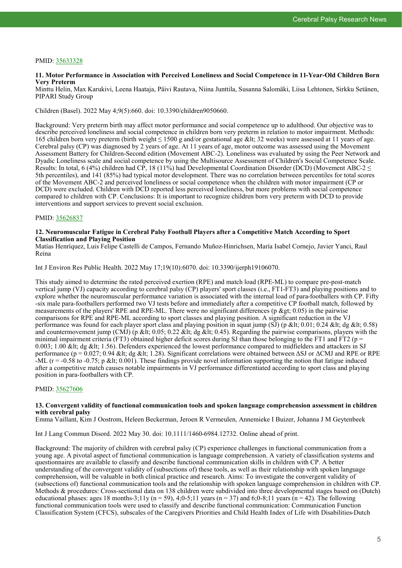# PMID: [35633328](http://www.ncbi.nlm.nih.gov/pubmed/35633328)

#### **11. Motor Performance in Association with Perceived Loneliness and Social Competence in 11-Year-Old Children Born Very Preterm**

Minttu Helin, Max Karukivi, Leena Haataja, Päivi Rautava, Niina Junttila, Susanna Salomäki, Liisa Lehtonen, Sirkku Setänen, PIPARI Study Group

Children (Basel). 2022 May 4;9(5):660. doi: 10.3390/children9050660.

Background: Very preterm birth may affect motor performance and social competence up to adulthood. Our objective was to describe perceived loneliness and social competence in children born very preterm in relation to motor impairment. Methods: 165 children born very preterm (birth weight  $\leq 1500$  g and/or gestational age &It; 32 weeks) were assessed at 11 years of age. Cerebral palsy (CP) was diagnosed by 2 years of age. At 11 years of age, motor outcome was assessed using the Movement Assessment Battery for Children-Second edition (Movement ABC-2). Loneliness was evaluated by using the Peer Network and Dyadic Loneliness scale and social competence by using the Multisource Assessment of Children's Social Competence Scale. Results: In total, 6 (4%) children had CP, 18 (11%) had Developmental Coordination Disorder (DCD) (Movement ABC-2  $\leq$ 5th percentiles), and 141 (85%) had typical motor development. There was no correlation between percentiles for total scores of the Movement ABC-2 and perceived loneliness or social competence when the children with motor impairment (CP or DCD) were excluded. Children with DCD reported less perceived loneliness, but more problems with social competence compared to children with CP. Conclusions: It is important to recognize children born very preterm with DCD to provide interventions and support services to prevent social exclusion.

# PMID: [35626837](http://www.ncbi.nlm.nih.gov/pubmed/35626837)

#### **12. Neuromuscular Fatigue in Cerebral Palsy Football Players after a Competitive Match According to Sport Classification and Playing Position**

Matías Henríquez, Luis Felipe Castelli de Campos, Fernando Muñoz-Hinrichsen, María Isabel Cornejo, Javier Yanci, Raul Reina

Int J Environ Res Public Health. 2022 May 17;19(10):6070. doi: 10.3390/ijerph19106070.

This study aimed to determine the rated perceived exertion (RPE) and match load (RPE-ML) to compare pre-post-match vertical jump (VJ) capacity according to cerebral palsy (CP) players' sport classes (i.e., FT1-FT3) and playing positions and to explore whether the neuromuscular performance variation is associated with the internal load of para-footballers with CP. Fifty -six male para-footballers performed two VJ tests before and immediately after a competitive CP football match, followed by measurements of the players' RPE and RPE-ML. There were no significant differences ( $p \> g(t)$ ; 0.05) in the pairwise comparisons for RPE and RPE-ML according to sport classes and playing position. A significant reduction in the VJ performance was found for each player sport class and playing position in squat jump (SJ) (p < 0.01; 0.24 &lt; dg &lt; 0.58) and countermovement jump (CMJ) (p &It;  $0.05$ ;  $0.22$  &It; dg &It;  $0.45$ ). Regarding the pairwise comparisons, players with the minimal impairment criteria (FT3) obtained higher deficit scores during SJ than those belonging to the FT1 and FT2 ( $p =$ 0.003; 1.00 < dg &lt; 1.56). Defenders experienced the lowest performance compared to midfielders and attackers in SJ performance ( $p = 0.027$ ; 0.94 < dg &lt; 1.28). Significant correlations were obtained between  $\Delta SJ$  or  $\Delta CMI$  and RPE or RPE  $-ML$  (r = -0.58 to -0.75; p < 0.001). These findings provide novel information supporting the notion that fatigue induced after a competitive match causes notable impairments in VJ performance differentiated according to sport class and playing position in para-footballers with CP.

# PMID: [35627606](http://www.ncbi.nlm.nih.gov/pubmed/35627606)

#### **13. Convergent validity of functional communication tools and spoken language comprehension assessment in children with cerebral palsy**

Emma Vaillant, Kim J Oostrom, Heleen Beckerman, Jeroen R Vermeulen, Annemieke I Buizer, Johanna J M Geytenbeek

Int J Lang Commun Disord. 2022 May 30. doi: 10.1111/1460-6984.12732. Online ahead of print.

Background: The majority of children with cerebral palsy (CP) experience challenges in functional communication from a young age. A pivotal aspect of functional communication is language comprehension. A variety of classification systems and questionnaires are available to classify and describe functional communication skills in children with CP. A better understanding of the convergent validity of (subsections of) these tools, as well as their relationship with spoken language comprehension, will be valuable in both clinical practice and research. Aims: To investigate the convergent validity of (subsections of) functional communication tools and the relationship with spoken language comprehension in children with CP. Methods & procedures: Cross-sectional data on 138 children were subdivided into three developmental stages based on (Dutch) educational phases: ages 18 months-3;11y (n = 59), 4;0-5;11 years (n = 37) and 6;0-8;11 years (n = 42). The following functional communication tools were used to classify and describe functional communication: Communication Function Classification System (CFCS), subscales of the Caregivers Priorities and Child Health Index of Life with Disabilities-Dutch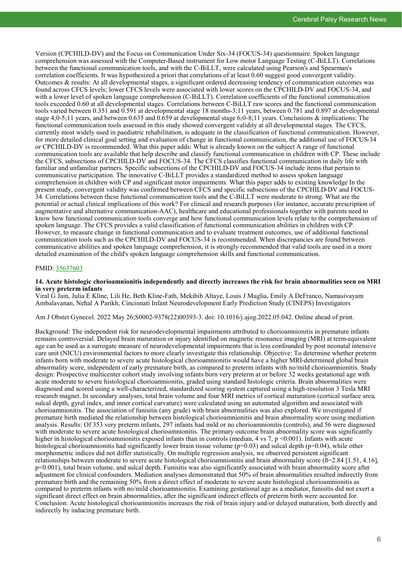Version (CPCHILD-DV) and the Focus on Communication Under Six-34 (FOCUS-34) questionnaire. Spoken language comprehension was assessed with the Computer-Based instrument for Low motor Language Testing (C-BiLLT). Correlations between the functional communication tools, and with the C-BiLLT, were calculated using Pearson's and Spearman's correlation coefficients. It was hypothesized a priori that correlations of at least 0.60 suggest good convergent validity. Outcomes & results: At all developmental stages, a significant ordered decreasing tendency of communication outcomes was found across CFCS levels; lower CFCS levels were associated with lower scores on the CPCHILD-DV and FOCUS-34, and with a lower level of spoken language comprehension (C-BiLLT). Correlation coefficients of the functional communication tools exceeded 0.60 at all developmental stages. Correlations between C-BiLLT raw scores and the functional communication tools varied between 0.351 and 0.591 at developmental stage 18 months-3;11 years, between 0.781 and 0.897 at developmental stage 4;0-5;11 years, and between 0.635 and 0.659 at developmental stage 6;0-8;11 years. Conclusions & implications: The functional communication tools assessed in this study showed convergent validity at all developmental stages. The CFCS, currently most widely used in paediatric rehabilitation, is adequate in the classification of functional communication. However, for more detailed clinical goal setting and evaluation of change in functional communication, the additional use of FOCUS-34 or CPCHILD-DV is recommended. What this paper adds: What is already known on the subject A range of functional communication tools are available that help describe and classify functional communication in children with CP. These include the CFCS, subsections of CPCHILD-DV and FOCUS-34. The CFCS classifies functional communication in daily life with familiar and unfamiliar partners. Specific subsections of the CPCHILD-DV and FOCUS-34 include items that pertain to communicative participation. The innovative C-BiLLT provides a standardized method to assess spoken language comprehension in children with CP and significant motor impairments. What this paper adds to existing knowledge In the present study, convergent validity was confirmed between CFCS and specific subsections of the CPCHILD-DV and FOCUS-34. Correlations between these functional communication tools and the C-BiLLT were moderate to strong. What are the potential or actual clinical implications of this work? For clinical and research purposes (for instance, accurate prescription of augmentative and alternative communication-AAC), healthcare and educational professionals together with parents need to know how functional communication tools converge and how functional communication levels relate to the comprehension of spoken language. The CFCS provides a valid classification of functional communication abilities in children with CP. However, to measure change in functional communication and to evaluate treatment outcomes, use of additional functional communication tools such as the CPCHILD-DV and FOCUS-34 is recommended. When discrepancies are found between communicative abilities and spoken language comprehension, it is strongly recommended that valid tools are used in a more detailed examination of the child's spoken language comprehension skills and functional communication.

#### PMID: [35637603](http://www.ncbi.nlm.nih.gov/pubmed/35637603)

#### **14. Acute histologic chorioamnionitis independently and directly increases the risk for brain abnormalities seen on MRI in very preterm infants**

Viral G Jain, Julia E Kline, Lili He, Beth Kline-Fath, Mekibib Altaye, Louis J Muglia, Emily A DeFranco, Namasivayam Ambalavanan, Nehal A Parikh, Cincinnati Infant Neurodevelopment Early Prediction Study (CINEPS) Investigators

Am J Obstet Gynecol. 2022 May 26;S0002-9378(22)00393-3. doi: 10.1016/j.ajog.2022.05.042. Online ahead of print.

Background: The independent risk for neurodevelopmental impairments attributed to chorioamnionitis in premature infants remains controversial. Delayed brain maturation or injury identified on magnetic resonance imaging (MRI) at term-equivalent age can be used as a surrogate measure of neurodevelopmental impairments that is less confounded by post neonatal intensive care unit (NICU) environmental factors to more clearly investigate this relationship. Objective: To determine whether preterm infants born with moderate to severe acute histological chorioamnionitis would have a higher MRI-determined global brain abnormality score, independent of early premature birth, as compared to preterm infants with no/mild chorioamnionitis. Study design: Prospective multicenter cohort study involving infants born very preterm at or before 32 weeks gestational age with acute moderate to severe histological chorioamnionitis, graded using standard histologic criteria. Brain abnormalities were diagnosed and scored using a well-characterized, standardized scoring system captured using a high-resolution 3 Tesla MRI research magnet. In secondary analyses, total brain volume and four MRI metrics of cortical maturation (cortical surface area, sulcal depth, gyral index, and inner cortical curvature) were calculated using an automated algorithm and associated with chorioamnionitis. The association of funisitis (any grade) with brain abnormalities was also explored. We investigated if premature birth mediated the relationship between histological chorioamnionitis and brain abnormality score using mediation analysis. Results: Of 353 very preterm infants, 297 infants had mild or no chorioamnionitis (controls), and 56 were diagnosed with moderate to severe acute histological chorioamnionitis. The primary outcome brain abnormality score was significantly higher in histological chorioamnionitis exposed infants than in controls (median, 4 vs 7, p <0.001). Infants with acute histological chorioamnionitis had significantly lower brain tissue volume  $(p=0.03)$  and sulcal depth  $(p=0.04)$ , while other morphometric indices did not differ statistically. On multiple regression analysis, we observed persistent significant relationships between moderate to severe acute histological chorioamnionitis and brain abnormality score ( $\beta$ =2.84 [1.51, 4.16], p<0.001), total brain volume, and sulcal depth. Funisitis was also significantly associated with brain abnormality score after adjustment for clinical confounders. Mediation analyses demonstrated that 50% of brain abnormalities resulted indirectly from premature birth and the remaining 50% from a direct effect of moderate to severe acute histological chorioamnionitis as compared to preterm infants with no/mild chorioamnionitis. Examining gestational age as a mediator, funisitis did not exert a significant direct effect on brain abnormalities, after the significant indirect effects of preterm birth were accounted for. Conclusion: Acute histological chorioamnionitis increases the risk of brain injury and/or delayed maturation, both directly and indirectly by inducing premature birth.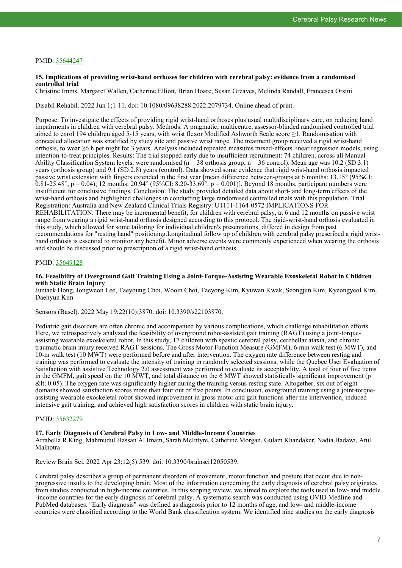# PMID: [35644247](http://www.ncbi.nlm.nih.gov/pubmed/35644247)

#### **15. Implications of providing wrist-hand orthoses for children with cerebral palsy: evidence from a randomised controlled trial**

Christine Imms, Margaret Wallen, Catherine Elliott, Brian Hoare, Susan Greaves, Melinda Randall, Francesca Orsini

Disabil Rehabil. 2022 Jun 1;1-11. doi: 10.1080/09638288.2022.2079734. Online ahead of print.

Purpose: To investigate the effects of providing rigid wrist-hand orthoses plus usual multidisciplinary care, on reducing hand impairments in children with cerebral palsy. Methods: A pragmatic, multicentre, assessor-blinded randomised controlled trial aimed to enrol 194 children aged 5-15 years, with wrist flexor Modified Ashworth Scale score ≥1. Randomisation with concealed allocation was stratified by study site and passive wrist range. The treatment group received a rigid wrist-hand orthosis, to wear ≥6 h per night for 3 years. Analysis included repeated measures mixed-effects linear regression models, using intention-to-treat principles. Results: The trial stopped early due to insufficient recruitment: 74 children, across all Manual Ability Classification System levels, were randomised ( $n = 38$  orthosis group;  $n = 36$  control). Mean age was 10.2 (SD 3.1) years (orthosis group) and 9.1 (SD 2.8) years (control). Data showed some evidence that rigid wrist-hand orthosis impacted passive wrist extension with fingers extended in the first year [mean difference between-groups at 6 months: 13.15° (95%CI: 0.81-25.48°, p = 0.04); 12 months: 20.94° (95%CI: 8.20-33.69°, p = 0.001)]. Beyond 18 months, participant numbers were insufficient for conclusive findings. Conclusion: The study provided detailed data about short- and long-term effects of the wrist-hand orthosis and highlighted challenges in conducting large randomised controlled trials with this population. Trial Registration: Australia and New Zealand Clinical Trials Registry: U1111-1164-0572 IMPLICATIONS FOR REHABILITATION. There may be incremental benefit, for children with cerebral palsy, at 6 and 12 months on passive wrist range from wearing a rigid wrist-hand orthosis designed according to this protocol. The rigid-wrist-hand orthosis evaluated in this study, which allowed for some tailoring for individual children's presentations, differed in design from past recommendations for "resting hand" positioning.Longitudinal follow up of children with cerebral palsy prescribed a rigid wristhand orthosis is essential to monitor any benefit. Minor adverse events were commonly experienced when wearing the orthosis and should be discussed prior to prescription of a rigid wrist-hand orthosis.

#### PMID: [35649128](http://www.ncbi.nlm.nih.gov/pubmed/35649128)

#### **16. Feasibility of Overground Gait Training Using a Joint-Torque-Assisting Wearable Exoskeletal Robot in Children with Static Brain Injury**

Juntaek Hong, Jongweon Lee, Taeyoung Choi, Wooin Choi, Taeyong Kim, Kyuwan Kwak, Seongjun Kim, Kyeongyeol Kim, Daehyun Kim

Sensors (Basel). 2022 May 19;22(10):3870. doi: 10.3390/s22103870.

Pediatric gait disorders are often chronic and accompanied by various complications, which challenge rehabilitation efforts. Here, we retrospectively analyzed the feasibility of overground robot-assisted gait training (RAGT) using a joint-torqueassisting wearable exoskeletal robot. In this study, 17 children with spastic cerebral palsy, cerebellar ataxia, and chronic traumatic brain injury received RAGT sessions. The Gross Motor Function Measure (GMFM), 6-min walk test (6 MWT), and 10-m walk test (10 MWT) were performed before and after intervention. The oxygen rate difference between resting and training was performed to evaluate the intensity of training in randomly selected sessions, while the Quebec User Evaluation of Satisfaction with assistive Technology 2.0 assessment was performed to evaluate its acceptability. A total of four of five items in the GMFM, gait speed on the 10 MWT, and total distance on the 6 MWT showed statistically significant improvement (p  $<$ lt; 0.05). The oxygen rate was significantly higher during the training versus resting state. Altogether, six out of eight domains showed satisfaction scores more than four out of five points. In conclusion, overground training using a joint-torqueassisting wearable exoskeletal robot showed improvement in gross motor and gait functions after the intervention, induced intensive gait training, and achieved high satisfaction scores in children with static brain injury.

# PMID: [35632279](http://www.ncbi.nlm.nih.gov/pubmed/35632279)

#### **17. Early Diagnosis of Cerebral Palsy in Low- and Middle-Income Countries**

Arrabella R King, Mahmudul Hassan Al Imam, Sarah McIntyre, Catherine Morgan, Gulam Khandaker, Nadia Badawi, Atul Malhotra

Review Brain Sci. 2022 Apr 23;12(5):539. doi: 10.3390/brainsci12050539.

Cerebral palsy describes a group of permanent disorders of movement, motor function and posture that occur due to nonprogressive insults to the developing brain. Most of the information concerning the early diagnosis of cerebral palsy originates from studies conducted in high-income countries. In this scoping review, we aimed to explore the tools used in low- and middle -income countries for the early diagnosis of cerebral palsy. A systematic search was conducted using OVID Medline and PubMed databases. "Early diagnosis" was defined as diagnosis prior to 12 months of age, and low- and middle-income countries were classified according to the World Bank classification system. We identified nine studies on the early diagnosis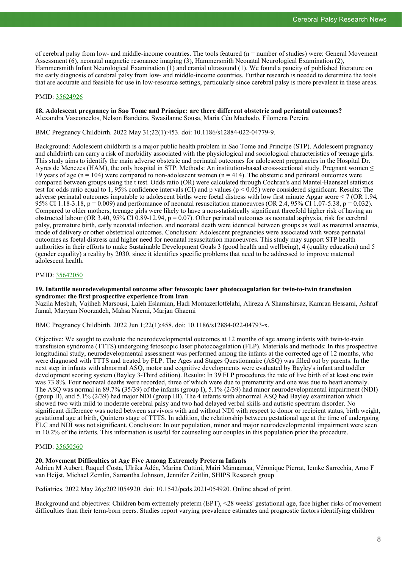of cerebral palsy from low- and middle-income countries. The tools featured (n = number of studies) were: General Movement Assessment (6), neonatal magnetic resonance imaging (3), Hammersmith Neonatal Neurological Examination (2), Hammersmith Infant Neurological Examination (1) and cranial ultrasound (1). We found a paucity of published literature on the early diagnosis of cerebral palsy from low- and middle-income countries. Further research is needed to determine the tools that are accurate and feasible for use in low-resource settings, particularly since cerebral palsy is more prevalent in these areas.

# PMID: [35624926](http://www.ncbi.nlm.nih.gov/pubmed/35624926)

# **18. Adolescent pregnancy in Sao Tome and Principe: are there different obstetric and perinatal outcomes?** Alexandra Vasconcelos, Nelson Bandeira, Swasilanne Sousa, Maria Céu Machado, Filomena Pereira

BMC Pregnancy Childbirth. 2022 May 31;22(1):453. doi: 10.1186/s12884-022-04779-9.

Background: Adolescent childbirth is a major public health problem in Sao Tome and Principe (STP). Adolescent pregnancy and childbirth can carry a risk of morbidity associated with the physiological and sociological characteristics of teenage girls. This study aims to identify the main adverse obstetric and perinatal outcomes for adolescent pregnancies in the Hospital Dr. Ayres de Menezes (HAM), the only hospital in STP. Methods: An institution-based cross-sectional study. Pregnant women  $\leq$ 19 years of age ( $n = 104$ ) were compared to non-adolescent women ( $n = 414$ ). The obstetric and perinatal outcomes were compared between groups using the t test. Odds ratio (OR) were calculated through Cochran's and Mantel-Haenszel statistics test for odds ratio equal to 1, 95% confidence intervals (CI) and p values ( $p < 0.05$ ) were considered significant. Results: The adverse perinatal outcomes imputable to adolescent births were foetal distress with low first minute Apgar score < 7 (OR 1.94, 95% CI 1.18-3.18,  $p = 0.009$ ) and performance of neonatal resuscitation manoeuvres (OR 2.4, 95% CI 1.07-5.38,  $p = 0.032$ ). Compared to older mothers, teenage girls were likely to have a non-statistically significant threefold higher risk of having an obstructed labour (OR 3.40, 95% CI 0.89-12.94,  $p = 0.07$ ). Other perinatal outcomes as neonatal asphyxia, risk for cerebral palsy, premature birth, early neonatal infection, and neonatal death were identical between groups as well as maternal anaemia, mode of delivery or other obstetrical outcomes. Conclusion: Adolescent pregnancies were associated with worse perinatal outcomes as foetal distress and higher need for neonatal resuscitation manoeuvres. This study may support STP health authorities in their efforts to make Sustainable Development Goals 3 (good health and wellbeing), 4 (quality education) and 5 (gender equality) a reality by 2030, since it identifies specific problems that need to be addressed to improve maternal adolescent health.

# PMID: [35642050](http://www.ncbi.nlm.nih.gov/pubmed/35642050)

#### **19. Infantile neurodevelopmental outcome after fetoscopic laser photocoagulation for twin-to-twin transfusion syndrome: the first prospective experience from Iran**

Nazila Mesbah, Vajiheh Marsousi, Laleh Eslamian, Hadi Montazerlotfelahi, Alireza A Shamshirsaz, Kamran Hessami, Ashraf Jamal, Maryam Noorzadeh, Mahsa Naemi, Marjan Ghaemi

BMC Pregnancy Childbirth. 2022 Jun 1;22(1):458. doi: 10.1186/s12884-022-04793-x.

Objective: We sought to evaluate the neurodevelopmental outcomes at 12 months of age among infants with twin-to-twin transfusion syndrome (TTTS) undergoing fetoscopic laser photocoagulation (FLP). Materials and methods: In this prospective longitudinal study, neurodevelopmental assessment was performed among the infants at the corrected age of 12 months, who were diagnosed with TTTS and treated by FLP. The Ages and Stages Questionnaire (ASQ) was filled out by parents. In the next step in infants with abnormal ASQ, motor and cognitive developments were evaluated by Bayley's infant and toddler development scoring system (Bayley 3-Third edition). Results: In 39 FLP procedures the rate of live birth of at least one twin was 73.8%. Four neonatal deaths were recorded, three of which were due to prematurity and one was due to heart anomaly. The ASQ was normal in 89.7% (35/39) of the infants (group I), 5.1% (2/39) had minor neurodevelopmental impairment (NDI) (group II), and 5.1% (2/39) had major NDI (group III). The 4 infants with abnormal ASQ had Bayley examination which showed two with mild to moderate cerebral palsy and two had delayed verbal skills and autistic spectrum disorder. No significant difference was noted between survivors with and without NDI with respect to donor or recipient status, birth weight, gestational age at birth, Quintero stage of TTTS. In addition, the relationship between gestational age at the time of undergoing FLC and NDI was not significant. Conclusion: In our population, minor and major neurodevelopmental impairment were seen in 10.2% of the infants. This information is useful for counseling our couples in this population prior the procedure.

# PMID: [35650560](http://www.ncbi.nlm.nih.gov/pubmed/35650560)

# **20. Movement Difficulties at Age Five Among Extremely Preterm Infants**

Adrien M Aubert, Raquel Costa, Ulrika Ådén, Marina Cuttini, Mairi Männamaa, Véronique Pierrat, Iemke Sarrechia, Arno F van Heijst, Michael Zemlin, Samantha Johnson, Jennifer Zeitlin, SHIPS Research group

Pediatrics. 2022 May 26;e2021054920. doi: 10.1542/peds.2021-054920. Online ahead of print.

Background and objectives: Children born extremely preterm (EPT), <28 weeks' gestational age, face higher risks of movement difficulties than their term-born peers. Studies report varying prevalence estimates and prognostic factors identifying children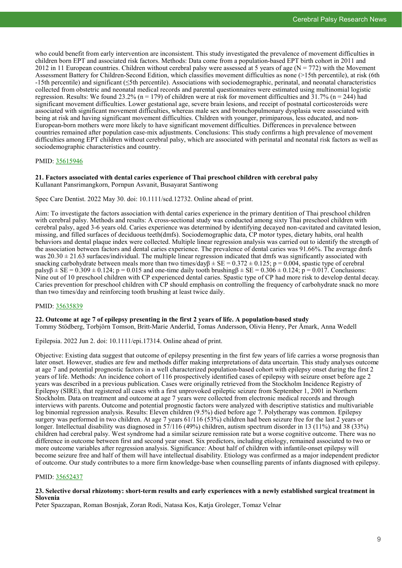who could benefit from early intervention are inconsistent. This study investigated the prevalence of movement difficulties in children born EPT and associated risk factors. Methods: Data come from a population-based EPT birth cohort in 2011 and 2012 in 11 European countries. Children without cerebral palsy were assessed at 5 years of age ( $N = 772$ ) with the Movement Assessment Battery for Children-Second Edition, which classifies movement difficulties as none (>15th percentile), at risk (6th -15th percentile) and significant (≤5th percentile). Associations with sociodemographic, perinatal, and neonatal characteristics collected from obstetric and neonatal medical records and parental questionnaires were estimated using multinomial logistic regression. Results: We found 23.2% (n = 179) of children were at risk for movement difficulties and  $31.7\%$  (n = 244) had significant movement difficulties. Lower gestational age, severe brain lesions, and receipt of postnatal corticosteroids were associated with significant movement difficulties, whereas male sex and bronchopulmonary dysplasia were associated with being at risk and having significant movement difficulties. Children with younger, primiparous, less educated, and non-European-born mothers were more likely to have significant movement difficulties. Differences in prevalence between countries remained after population case-mix adjustments. Conclusions: This study confirms a high prevalence of movement difficulties among EPT children without cerebral palsy, which are associated with perinatal and neonatal risk factors as well as sociodemographic characteristics and country.

# PMID: [35615946](https://pubmed.ncbi.nlm.nih.gov/35615946)

#### **21. Factors associated with dental caries experience of Thai preschool children with cerebral palsy** Kullanant Pansrimangkorn, Pornpun Asvanit, Busayarat Santiwong

Spec Care Dentist. 2022 May 30. doi: 10.1111/scd.12732. Online ahead of print.

Aim: To investigate the factors association with dental caries experience in the primary dentition of Thai preschool children with cerebral palsy. Methods and results: A cross-sectional study was conducted among sixty Thai preschool children with cerebral palsy, aged 3-6 years old. Caries experience was determined by identifying decayed non-cavitated and cavitated lesion, missing, and filled surfaces of deciduous teeth(dmfs). Sociodemographic data, CP motor types, dietary habits, oral health behaviors and dental plaque index were collected. Multiple linear regression analysis was carried out to identify the strength of the association between factors and dental caries experience. The prevalence of dental caries was 91.66%. The average dmfs was  $20.30 \pm 21.63$  surfaces/individual. The multiple linear regression indicated that dmfs was significantly associated with snacking carbohydrate between meals more than two times/day $\beta \pm SE = 0.372 \pm 0.125$ ; p = 0.004, spastic type of cerebral  $\text{palsyß} \pm \text{SE} = 0.309 \pm 0.124$ ;  $p = 0.015$  and one-time daily tooth brushing  $\beta \pm \text{SE} = 0.306 \pm 0.124$ ;  $p = 0.017$ . Conclusions: Nine out of 10 preschool children with CP experienced dental caries. Spastic type of CP had more risk to develop dental decay. Caries prevention for preschool children with CP should emphasis on controlling the frequency of carbohydrate snack no more than two times/day and reinforcing tooth brushing at least twice daily.

#### PMID: [35635839](http://www.ncbi.nlm.nih.gov/pubmed/35635839)

#### **22. Outcome at age 7 of epilepsy presenting in the first 2 years of life. A population-based study**

Tommy Stödberg, Torbjörn Tomson, Britt-Marie Anderlid, Tomas Andersson, Olivia Henry, Per Åmark, Anna Wedell

Epilepsia. 2022 Jun 2. doi: 10.1111/epi.17314. Online ahead of print.

Objective: Existing data suggest that outcome of epilepsy presenting in the first few years of life carries a worse prognosis than later onset. However, studies are few and methods differ making interpretations of data uncertain. This study analyses outcome at age 7 and potential prognostic factors in a well characterized population-based cohort with epilepsy onset during the first 2 years of life. Methods: An incidence cohort of 116 prospectively identified cases of epilepsy with seizure onset before age 2 years was described in a previous publication. Cases were originally retrieved from the Stockholm Incidence Registry of Epilepsy (SIRE), that registered all cases with a first unprovoked epileptic seizure from September 1, 2001 in Northern Stockholm. Data on treatment and outcome at age 7 years were collected from electronic medical records and through interviews with parents. Outcome and potential prognostic factors were analyzed with descriptive statistics and multivariable log binomial regression analysis. Results: Eleven children (9.5%) died before age 7. Polytherapy was common. Epilepsy surgery was performed in two children. At age 7 years 61/116 (53%) children had been seizure free for the last 2 years or longer. Intellectual disability was diagnosed in 57/116 (49%) children, autism spectrum disorder in 13 (11%) and 38 (33%) children had cerebral palsy. West syndrome had a similar seizure remission rate but a worse cognitive outcome. There was no difference in outcome between first and second year onset. Six predictors, including etiology, remained associated to two or more outcome variables after regression analysis. Significance: About half of children with infantile-onset epilepsy will become seizure free and half of them will have intellectual disability. Etiology was confirmed as a major independent predictor of outcome. Our study contributes to a more firm knowledge-base when counselling parents of infants diagnosed with epilepsy.

# PMID: [35652437](http://www.ncbi.nlm.nih.gov/pubmed/35652437)

# **23. Selective dorsal rhizotomy: short-term results and early experiences with a newly established surgical treatment in Slovenia**

Peter Spazzapan, Roman Bosnjak, Zoran Rodi, Natasa Kos, Katja Groleger, Tomaz Velnar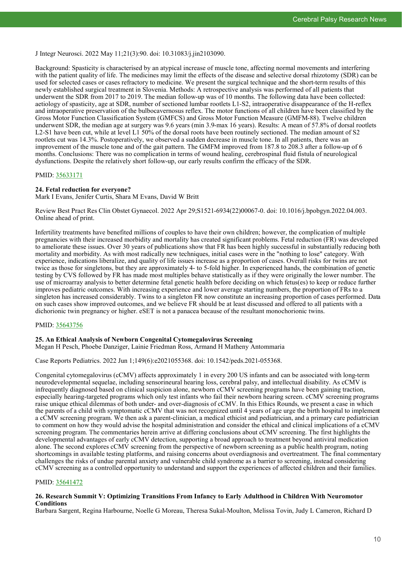J Integr Neurosci. 2022 May 11;21(3):90. doi: 10.31083/j.jin2103090.

Background: Spasticity is characterised by an atypical increase of muscle tone, affecting normal movements and interfering with the patient quality of life. The medicines may limit the effects of the disease and selective dorsal rhizotomy (SDR) can be used for selected cases or cases refractory to medicine. We present the surgical technique and the short-term results of this newly established surgical treatment in Slovenia. Methods: A retrospective analysis was performed of all patients that underwent the SDR from 2017 to 2019. The median follow-up was of 10 months. The following data have been collected: aetiology of spasticity, age at SDR, number of sectioned lumbar rootlets L1-S2, intraoperative disappearance of the H-reflex and intraoperative preservation of the bulbocavernosus reflex. The motor functions of all children have been classified by the Gross Motor Function Classification System (GMFCS) and Gross Motor Function Measure (GMFM-88). Twelve children underwent SDR, the median age at surgery was 9.6 years (min 3.9-max 16 years). Results: A mean of 57.8% of dorsal rootlets L2-S1 have been cut, while at level L1 50% of the dorsal roots have been routinely sectioned. The median amount of S2 rootlets cut was 14.3%. Postoperatively, we observed a sudden decrease in muscle tone. In all patients, there was an improvement of the muscle tone and of the gait pattern. The GMFM improved from 187.8 to 208.3 after a follow-up of 6 months. Conclusions: There was no complication in terms of wound healing, cerebrospinal fluid fistula of neurological dysfunctions. Despite the relatively short follow-up, our early results confirm the efficacy of the SDR.

# PMID: [35633171](http://www.ncbi.nlm.nih.gov/pubmed/35633171)

#### **24. Fetal reduction for everyone?**

Mark I Evans, Jenifer Curtis, Shara M Evans, David W Britt

Review Best Pract Res Clin Obstet Gynaecol. 2022 Apr 29;S1521-6934(22)00067-0. doi: 10.1016/j.bpobgyn.2022.04.003. Online ahead of print.

Infertility treatments have benefited millions of couples to have their own children; however, the complication of multiple pregnancies with their increased morbidity and mortality has created significant problems. Fetal reduction (FR) was developed to ameliorate these issues. Over 30 years of publications show that FR has been highly successful in substantially reducing both mortality and morbidity. As with most radically new techniques, initial cases were in the "nothing to lose" category. With experience, indications liberalize, and quality of life issues increase as a proportion of cases. Overall risks for twins are not twice as those for singletons, but they are approximately 4- to 5-fold higher. In experienced hands, the combination of genetic testing by CVS followed by FR has made most multiples behave statistically as if they were originally the lower number. The use of microarray analysis to better determine fetal genetic health before deciding on which fetus(es) to keep or reduce further improves pediatric outcomes. With increasing experience and lower average starting numbers, the proportion of FRs to a singleton has increased considerably. Twins to a singleton FR now constitute an increasing proportion of cases performed. Data on such cases show improved outcomes, and we believe FR should be at least discussed and offered to all patients with a dichorionic twin pregnancy or higher. eSET is not a panacea because of the resultant monochorionic twins.

# PMID: [35643756](http://www.ncbi.nlm.nih.gov/pubmed/35643756)

#### **25. An Ethical Analysis of Newborn Congenital Cytomegalovirus Screening**

Megan H Pesch, Phoebe Danziger, Lainie Friedman Ross, Armand H Matheny Antommaria

Case Reports Pediatrics. 2022 Jun 1;149(6):e2021055368. doi: 10.1542/peds.2021-055368.

Congenital cytomegalovirus (cCMV) affects approximately 1 in every 200 US infants and can be associated with long-term neurodevelopmental sequelae, including sensorineural hearing loss, cerebral palsy, and intellectual disability. As cCMV is infrequently diagnosed based on clinical suspicion alone, newborn cCMV screening programs have been gaining traction, especially hearing-targeted programs which only test infants who fail their newborn hearing screen. cCMV screening programs raise unique ethical dilemmas of both under- and over-diagnosis of cCMV. In this Ethics Rounds, we present a case in which the parents of a child with symptomatic cCMV that was not recognized until 4 years of age urge the birth hospital to implement a cCMV screening program. We then ask a parent-clinician, a medical ethicist and pediatrician, and a primary care pediatrician to comment on how they would advise the hospital administration and consider the ethical and clinical implications of a cCMV screening program. The commentaries herein arrive at differing conclusions about cCMV screening. The first highlights the developmental advantages of early cCMV detection, supporting a broad approach to treatment beyond antiviral medication alone. The second explores cCMV screening from the perspective of newborn screening as a public health program, noting shortcomings in available testing platforms, and raising concerns about overdiagnosis and overtreatment. The final commentary challenges the risks of undue parental anxiety and vulnerable child syndrome as a barrier to screening, instead considering cCMV screening as a controlled opportunity to understand and support the experiences of affected children and their families.

# PMID: [35641472](http://www.ncbi.nlm.nih.gov/pubmed/35641472)

# **26. Research Summit V: Optimizing Transitions From Infancy to Early Adulthood in Children With Neuromotor Conditions**

Barbara Sargent, Regina Harbourne, Noelle G Moreau, Theresa Sukal-Moulton, Melissa Tovin, Judy L Cameron, Richard D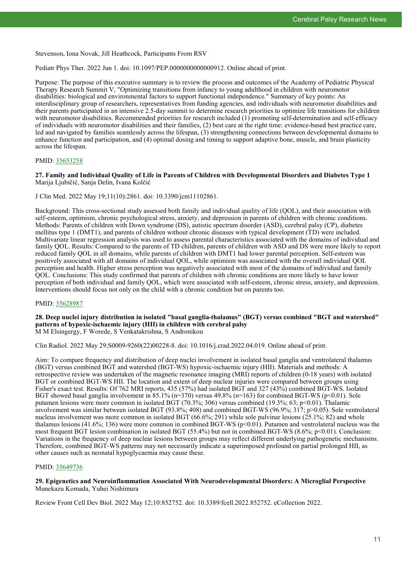Stevenson, Iona Novak, Jill Heathcock, Participants From RSV

Pediatr Phys Ther. 2022 Jun 1. doi: 10.1097/PEP.0000000000000912. Online ahead of print.

Purpose: The purpose of this executive summary is to review the process and outcomes of the Academy of Pediatric Physical Therapy Research Summit V, "Optimizing transitions from infancy to young adulthood in children with neuromotor disabilities: biological and environmental factors to support functional independence." Summary of key points: An interdisciplinary group of researchers, representatives from funding agencies, and individuals with neuromotor disabilities and their parents participated in an intensive 2.5-day summit to determine research priorities to optimize life transitions for children with neuromotor disabilities. Recommended priorities for research included (1) promoting self-determination and self-efficacy of individuals with neuromotor disabilities and their families, (2) best care at the right time: evidence-based best practice care, led and navigated by families seamlessly across the lifespan, (3) strengthening connections between developmental domains to enhance function and participation, and (4) optimal dosing and timing to support adaptive bone, muscle, and brain plasticity across the lifespan.

# PMID: [35653258](http://www.ncbi.nlm.nih.gov/pubmed/35653258)

**27. Family and Individual Quality of Life in Parents of Children with Developmental Disorders and Diabetes Type 1** Marija Ljubičić, Sanja Delin, Ivana Kolčić

J Clin Med. 2022 May 19;11(10):2861. doi: 10.3390/jcm11102861.

Background: This cross-sectional study assessed both family and individual quality of life (QOL), and their association with self-esteem, optimism, chronic psychological stress, anxiety, and depression in parents of children with chronic conditions. Methods: Parents of children with Down syndrome (DS), autistic spectrum disorder (ASD), cerebral palsy (CP), diabetes mellitus type 1 (DMT1), and parents of children without chronic diseases with typical development (TD) were included. Multivariate linear regression analysis was used to assess parental characteristics associated with the domains of individual and family QOL. Results: Compared to the parents of TD children, parents of children with ASD and DS were more likely to report reduced family QOL in all domains, while parents of children with DMT1 had lower parental perception. Self-esteem was positively associated with all domains of individual QOL, while optimism was associated with the overall individual QOL perception and health. Higher stress perception was negatively associated with most of the domains of individual and family QOL. Conclusions: This study confirmed that parents of children with chronic conditions are more likely to have lower perception of both individual and family QOL, which were associated with self-esteem, chronic stress, anxiety, and depression. Interventions should focus not only on the child with a chronic condition but on parents too.

# PMID: [35628987](http://www.ncbi.nlm.nih.gov/pubmed/35628987)

# **28. Deep nuclei injury distribution in isolated "basal ganglia-thalamus" (BGT) versus combined "BGT and watershed" patterns of hypoxic-ischaemic injury (HII) in children with cerebral palsy**

M M Elsingergy, F Worede, S Venkatakrishna, S Andronikou

Clin Radiol. 2022 May 29;S0009-9260(22)00228-8. doi: 10.1016/j.crad.2022.04.019. Online ahead of print.

Aim: To compare frequency and distribution of deep nuclei involvement in isolated basal ganglia and ventrolateral thalamus (BGT) versus combined BGT and watershed (BGT-WS) hypoxic-ischaemic injury (HII). Materials and methods: A retrospective review was undertaken of the magnetic resonance imaging (MRI) reports of children (0-18 years) with isolated BGT or combined BGT-WS HII. The location and extent of deep nuclear injuries were compared between groups using Fisher's exact test. Results: Of 762 MRI reports, 435 (57%) had isolated BGT and 327 (43%) combined BGT-WS. Isolated BGT showed basal ganglia involvement in 85.1% ( $n=370$ ) versus 49.8% ( $n=163$ ) for combined BGT-WS ( $p<0.01$ ). Sole putamen lesions were more common in isolated BGT (70.3%; 306) versus combined (19.3%; 63; p<0.01). Thalamic involvement was similar between isolated BGT (93.8%; 408) and combined BGT-WS (96.9%; 317; p>0.05). Sole ventrolateral nucleus involvement was more common in isolated BGT (66.6%; 291) while sole pulvinar lesions (25.1%; 82) and whole thalamus lesions (41.6%; 136) were more common in combined BGT-WS ( $p$ <0.01). Putamen and ventrolateral nucleus was the most frequent BGT lesion combination in isolated BGT (55.4%) but not in combined BGT-WS (8.6%; p<0.01). Conclusion: Variations in the frequency of deep nuclear lesions between groups may reflect different underlying pathogenetic mechanisms. Therefore, combined BGT-WS patterns may not necessarily indicate a superimposed profound on partial prolonged HII, as other causes such as neonatal hypoglycaemia may cause these.

# PMID: [35649736](http://www.ncbi.nlm.nih.gov/pubmed/35649736)

# **29. Epigenetics and Neuroinflammation Associated With Neurodevelopmental Disorders: A Microglial Perspective** Munekazu Komada, Yuhei Nishimura

Review Front Cell Dev Biol. 2022 May 12;10:852752. doi: 10.3389/fcell.2022.852752. eCollection 2022.